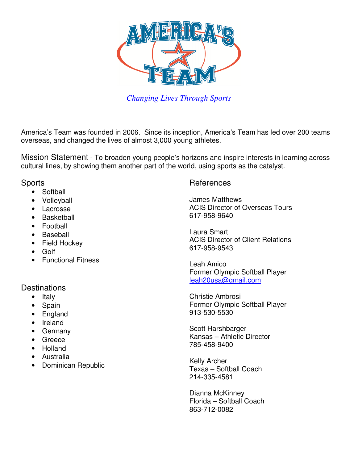

*Changing Lives Through Sports*

America's Team was founded in 2006. Since its inception, America's Team has led over 200 teams overseas, and changed the lives of almost 3,000 young athletes.

Mission Statement - To broaden young people's horizons and inspire interests in learning across cultural lines, by showing them another part of the world, using sports as the catalyst.

## **Sports**

- Softball
- Volleyball
- Lacrosse
- Basketball
- Football
- Baseball
- Field Hockey
- Golf
- Functional Fitness

## **Destinations**

- Italy
- Spain
- England
- Ireland
- Germany
- Greece
- Holland
- Australia
- Dominican Republic

## References

James Matthews ACIS Director of Overseas Tours 617-958-9640

Laura Smart ACIS Director of Client Relations 617-958-9543

Leah Amico Former Olympic Softball Player leah20usa@gmail.com

Christie Ambrosi Former Olympic Softball Player 913-530-5530

Scott Harshbarger Kansas – Athletic Director 785-458-9400

Kelly Archer Texas – Softball Coach 214-335-4581

Dianna McKinney Florida – Softball Coach 863-712-0082